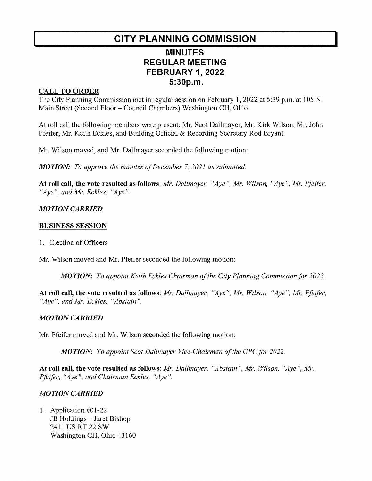# CITY PLANNING COMMISSION

## **MINUTES REGULAR MEETING** FEBRUARY 1,2022 5:30p.m.

#### **CALL TO ORDER**

The City Planning Commission met in regular session on February 1, 2022 at 5:39 p.m. at 105 N. Main Street (Second Floor – Council Chambers) Washington CH, Ohio.

At roll call the following members were present: Mr. Scot Dallmayer, Mr. Kirk Wilson, Mr. John Pfeifer, Mr. Keith Eckles, and Building Official & Recording Secretary Rod Bryant.

Mr. Wilson moved, and Mr. Dallmayer seconded the following motion:

**MOTION:** To approve the minutes of December 7, 2021 as submitted.

At roll call, the vote resulted as follows: Mr. Dallmayer, "Aye", Mr. Wilson, "Aye", Mr. Pfeifer, "Aye", and Mr. Eckles, "Aye".

#### **MOTION CARRIED**

#### BUSINESS SESSION

1. Election of Officers

Mr. Wilson moved and Mr. Pfeifer seconded the following motion:

MOTION: To appoint Keith Eckles Chairman of the City Planning Commission for 2022.

At roll call, the vote resulted as follows: Mr. Dallmayer, "Aye", Mr. Wilson, "Aye", Mr. Pfeifer, "Aye", and Mr. Eckles, "Abstain".

#### **MOTION CARRIED**

Mr. Pfeifer moved and Mr. Wilson seconded the following motion:

**MOTION:** To appoint Scot Dallmayer Vice-Chairman of the CPC for 2022.

At roll call, the vote resulted as follows: Mr. Dallmayer, "Abstain", Mr. Wilson, "Aye", Mr. Pfeifer, "Aye", and Chairman Eckles, "Aye".

### **MOTION CARRIED**

1. Application #01-22 Application #01-22<br>JB Holdings – Jaret Bishop<br>2411 US RT 22 SW 2411 US RT 22 SW<br>Washington CH, Ohio 43160